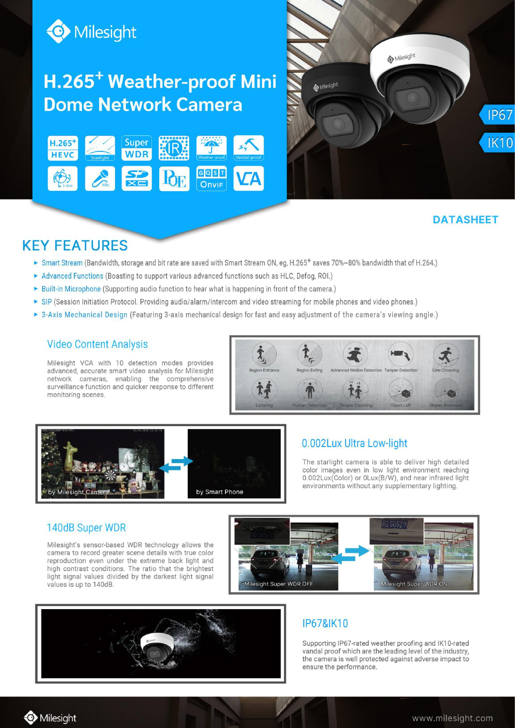

## H.265<sup>+</sup> Weather-proof Mini **Dome Network Camera**





## **DATASHEET**

## **KEY FEATURES**

- ► Smart Stream (Bandwidth, storage and bit rate are saved with Smart Stream ON, eg, H.265<sup>+</sup> saves 70%~80% bandwidth that of H.264.)
- Advanced Functions (Boasting to support various advanced functions such as HLC, Defog, ROI.)
- Built-in Microphone (Supporting audio function to hear what is happening in front of the camera.)
- ▶ SIP (Session Initiation Protocol. Providing audio/alarm/intercom and video streaming for mobile phones and video phones.)
- ▶ 3-Axis Mechanical Design (Featuring 3-axis mechanical design for fast and easy adjustment of the camera's viewing angle.)

### **Video Content Analysis**

Milesight VCA with 10 detection modes provides advanced, accurate smart video analysis for Milesight network cameras, enabling the comprehensive surveillance function and quicker response to different monitoring scenes.





### 0.002Lux Ultra Low-light

The starlight camera is able to deliver high detailed color images even in low light environment reaching 0.002Lux(Color) or 0Lux(B/W), and near infrared light environments without any supplementary lighting.

### 140dB Super WDR

Milesight's sensor-based WDR technology allows the camera to record greater scene details with true color reproduction even under the extreme back light and high contrast conditions. The ratio that the brightest light signal values divided by the darkest light signal values is up to 140dB.





## **IP67&IK10**

Supporting IP67-rated weather proofing and IK10-rated vandal proof which are the leading level of the industry. the camera is well protected against adverse impact to ensure the performance.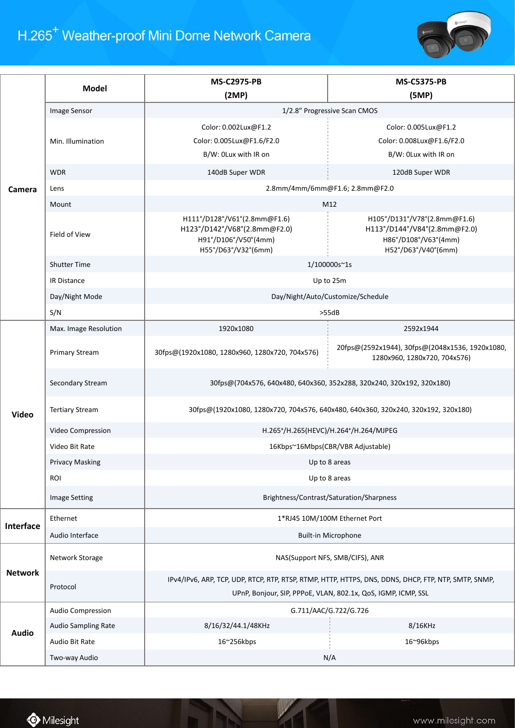# H.265<sup>+</sup> Weather-proof Mini Dome Network Camera



|                  | <b>Model</b>           | <b>MS-C2975-PB</b>                                                                                                                                                    | <b>MS-C5375-PB</b>                                                                                          |  |
|------------------|------------------------|-----------------------------------------------------------------------------------------------------------------------------------------------------------------------|-------------------------------------------------------------------------------------------------------------|--|
|                  |                        | (2MP)                                                                                                                                                                 | (5MP)                                                                                                       |  |
|                  | Image Sensor           | 1/2.8" Progressive Scan CMOS                                                                                                                                          |                                                                                                             |  |
|                  | Min. Illumination      | Color: 0.002Lux@F1.2<br>Color: 0.005Lux@F1.6/F2.0<br>B/W: OLux with IR on                                                                                             | Color: 0.005Lux@F1.2<br>Color: 0.008Lux@F1.6/F2.0<br>B/W: 0Lux with IR on                                   |  |
|                  | <b>WDR</b>             | 140dB Super WDR                                                                                                                                                       | 120dB Super WDR                                                                                             |  |
| Camera           | Lens                   | 2.8mm/4mm/6mm@F1.6; 2.8mm@F2.0                                                                                                                                        |                                                                                                             |  |
|                  | Mount                  | M12                                                                                                                                                                   |                                                                                                             |  |
|                  | Field of View          | H111°/D128°/V61°(2.8mm@F1.6)<br>H123°/D142°/V68°(2.8mm@F2.0)<br>H91°/D106°/V50°(4mm)<br>H55°/D63°/V32°(6mm)                                                           | H105°/D131°/V78°(2.8mm@F1.6)<br>H113°/D144°/V84°(2.8mm@F2.0)<br>H86°/D108°/V63°(4mm)<br>H52°/D63°/V40°(6mm) |  |
|                  | <b>Shutter Time</b>    | 1/100000s~1s                                                                                                                                                          |                                                                                                             |  |
|                  | <b>IR Distance</b>     | Up to 25m                                                                                                                                                             |                                                                                                             |  |
|                  | Day/Night Mode         | Day/Night/Auto/Customize/Schedule                                                                                                                                     |                                                                                                             |  |
|                  | S/N                    |                                                                                                                                                                       | >55dB                                                                                                       |  |
|                  | Max. Image Resolution  | 1920x1080                                                                                                                                                             | 2592x1944                                                                                                   |  |
| Video            | <b>Primary Stream</b>  | 30fps@(1920x1080, 1280x960, 1280x720, 704x576)                                                                                                                        | 20fps@(2592x1944), 30fps@(2048x1536, 1920x1080,<br>1280x960, 1280x720, 704x576)                             |  |
|                  | Secondary Stream       | 30fps@(704x576, 640x480, 640x360, 352x288, 320x240, 320x192, 320x180)                                                                                                 |                                                                                                             |  |
|                  | <b>Tertiary Stream</b> | 30fps@(1920x1080, 1280x720, 704x576, 640x480, 640x360, 320x240, 320x192, 320x180)                                                                                     |                                                                                                             |  |
|                  | Video Compression      | H.265+/H.265(HEVC)/H.264+/H.264/MJPEG                                                                                                                                 |                                                                                                             |  |
|                  | Video Bit Rate         | 16Kbps~16Mbps(CBR/VBR Adjustable)                                                                                                                                     |                                                                                                             |  |
|                  | <b>Privacy Masking</b> | Up to 8 areas                                                                                                                                                         |                                                                                                             |  |
|                  | <b>ROI</b>             | Up to 8 areas                                                                                                                                                         |                                                                                                             |  |
|                  | <b>Image Setting</b>   | Brightness/Contrast/Saturation/Sharpness                                                                                                                              |                                                                                                             |  |
|                  | Ethernet               | 1*RJ45 10M/100M Ethernet Port                                                                                                                                         |                                                                                                             |  |
| <b>Interface</b> | Audio Interface        | Built-in Microphone                                                                                                                                                   |                                                                                                             |  |
|                  | Network Storage        |                                                                                                                                                                       | NAS(Support NFS, SMB/CIFS), ANR                                                                             |  |
| <b>Network</b>   | Protocol               | IPv4/IPv6, ARP, TCP, UDP, RTCP, RTP, RTSP, RTMP, HTTP, HTTPS, DNS, DDNS, DHCP, FTP, NTP, SMTP, SNMP,<br>UPnP, Bonjour, SIP, PPPoE, VLAN, 802.1x, QoS, IGMP, ICMP, SSL |                                                                                                             |  |
|                  | Audio Compression      | G.711/AAC/G.722/G.726                                                                                                                                                 |                                                                                                             |  |
| <b>Audio</b>     | Audio Sampling Rate    | 8/16/32/44.1/48KHz                                                                                                                                                    | 8/16KHz                                                                                                     |  |
|                  | Audio Bit Rate         | 16~256kbps                                                                                                                                                            | 16~96kbps                                                                                                   |  |
|                  | Two-way Audio          |                                                                                                                                                                       | N/A                                                                                                         |  |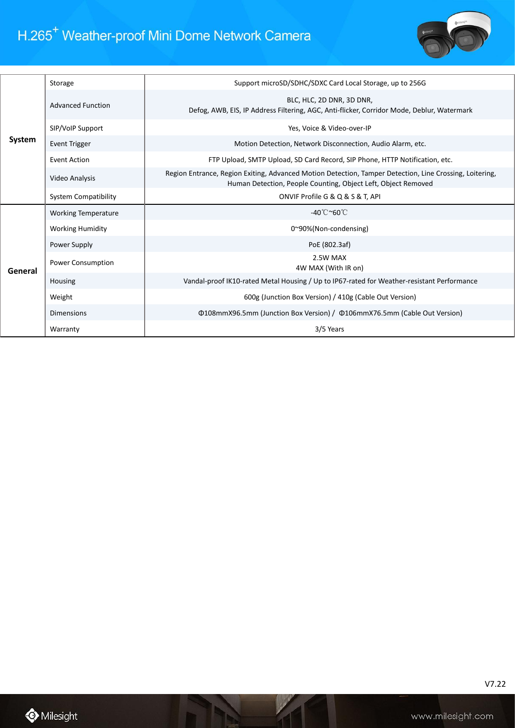## H.265<sup>+</sup> Weather-proof Mini Dome Network Camera



| System  | Storage                     | Support microSD/SDHC/SDXC Card Local Storage, up to 256G                                                                                                                 |  |
|---------|-----------------------------|--------------------------------------------------------------------------------------------------------------------------------------------------------------------------|--|
|         | <b>Advanced Function</b>    | BLC, HLC, 2D DNR, 3D DNR,<br>Defog, AWB, EIS, IP Address Filtering, AGC, Anti-flicker, Corridor Mode, Deblur, Watermark                                                  |  |
|         | SIP/VoIP Support            | Yes, Voice & Video-over-IP                                                                                                                                               |  |
|         | <b>Event Trigger</b>        | Motion Detection, Network Disconnection, Audio Alarm, etc.                                                                                                               |  |
|         | Event Action                | FTP Upload, SMTP Upload, SD Card Record, SIP Phone, HTTP Notification, etc.                                                                                              |  |
|         | Video Analysis              | Region Entrance, Region Exiting, Advanced Motion Detection, Tamper Detection, Line Crossing, Loitering,<br>Human Detection, People Counting, Object Left, Object Removed |  |
|         | <b>System Compatibility</b> | ONVIF Profile G & Q & S & T, API                                                                                                                                         |  |
|         | <b>Working Temperature</b>  | -40°C~60°C                                                                                                                                                               |  |
|         |                             |                                                                                                                                                                          |  |
|         | <b>Working Humidity</b>     | 0~90%(Non-condensing)                                                                                                                                                    |  |
|         | Power Supply                | PoE (802.3af)                                                                                                                                                            |  |
|         | <b>Power Consumption</b>    | 2.5W MAX<br>4W MAX (With IR on)                                                                                                                                          |  |
| General | Housing                     | Vandal-proof IK10-rated Metal Housing / Up to IP67-rated for Weather-resistant Performance                                                                               |  |
|         | Weight                      | 600g (Junction Box Version) / 410g (Cable Out Version)                                                                                                                   |  |
|         | <b>Dimensions</b>           | Φ108mmX96.5mm (Junction Box Version) / Φ106mmX76.5mm (Cable Out Version)                                                                                                 |  |